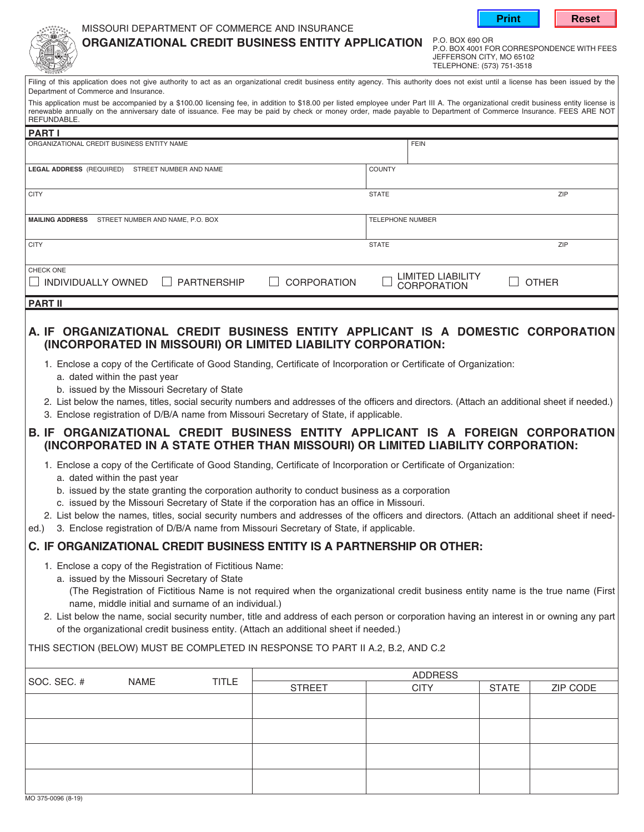|  | Print |
|--|-------|



## MISSOURI DEPARTMENT OF COMMERCE AND INSURANCE

**ORGANIZATIONAL CREDIT BUSINESS ENTITY APPLICATION**

P.O. BOX 690 OR P.O. BOX 4001 FOR CORRESPONDENCE WITH FEES JEFFERSON CITY, MO 65102 TELEPHONE: (573) 751-3518

| Filing of this application does not give authority to act as an organizational credit business entity agency. This authority does not exist until a license has been issued by the |  |
|------------------------------------------------------------------------------------------------------------------------------------------------------------------------------------|--|
| Department of Commerce and Insurance.                                                                                                                                              |  |

This application must be accompanied by a \$100.00 licensing fee, in addition to \$18.00 per listed employee under Part III A. The organizational credit business entity license is renewable annually on the anniversary date of issuance. Fee may be paid by check or money order, made payable to Department of Commerce Insurance. FEES ARE NOT REFUNDABLE.

| ∣PART I                                                                         |                         |                                                |              |
|---------------------------------------------------------------------------------|-------------------------|------------------------------------------------|--------------|
| ORGANIZATIONAL CREDIT BUSINESS ENTITY NAME                                      |                         | <b>FEIN</b>                                    |              |
| LEGAL ADDRESS (REQUIRED)<br>STREET NUMBER AND NAME                              | <b>COUNTY</b>           |                                                |              |
| <b>CITY</b>                                                                     | <b>STATE</b>            |                                                | <b>ZIP</b>   |
| <b>MAILING ADDRESS</b><br>STREET NUMBER AND NAME, P.O. BOX                      | <b>TELEPHONE NUMBER</b> |                                                |              |
| <b>CITY</b>                                                                     | <b>STATE</b>            |                                                | <b>ZIP</b>   |
| CHECK ONE<br>INDIVIDUALLY OWNED<br><b>PARTNERSHIP</b><br><b>CORPORATION</b>     |                         | <b>LIMITED LIABILITY</b><br><b>CORPORATION</b> | <b>OTHER</b> |
| <b>PART II</b>                                                                  |                         |                                                |              |
| A. IF ORGANIZATIONAL CREDIT BUSINESS ENTITY APPLICANT IS A DOMESTIC CORPORATION |                         |                                                |              |

- **(INCORPORATED IN MISSOURI) OR LIMITED LIABILITY CORPORATION:** 1. Enclose a copy of the Certificate of Good Standing, Certificate of Incorporation or Certificate of Organization:
	- a. dated within the past year
		- b. issued by the Missouri Secretary of State
	- 2. List below the names, titles, social security numbers and addresses of the officers and directors. (Attach an additional sheet if needed.)
- 3. Enclose registration of D/B/A name from Missouri Secretary of State, if applicable.

## **B. IF ORGANIZATIONAL CREDIT BUSINESS ENTITY APPLICANT IS A FOREIGN CORPORATION (INCORPORATED IN A STATE OTHER THAN MISSOURI) OR LIMITED LIABILITY CORPORATION:**

- 1. Enclose a copy of the Certificate of Good Standing, Certificate of Incorporation or Certificate of Organization:
	- a. dated within the past year
	- b. issued by the state granting the corporation authority to conduct business as a corporation
	- c. issued by the Missouri Secretary of State if the corporation has an office in Missouri.
- 2. List below the names, titles, social security numbers and addresses of the officers and directors. (Attach an additional sheet if need-
- ed.) 3. Enclose registration of D/B/A name from Missouri Secretary of State, if applicable.

## **C. IF ORGANIZATIONAL CREDIT BUSINESS ENTITY IS A PARTNERSHIP OR OTHER:**

- 1. Enclose a copy of the Registration of Fictitious Name:
	- a. issued by the Missouri Secretary of State
		- (The Registration of Fictitious Name is not required when the organizational credit business entity name is the true name (First name, middle initial and surname of an individual.)
- 2. List below the name, social security number, title and address of each person or corporation having an interest in or owning any part of the organizational credit business entity. (Attach an additional sheet if needed.)

THIS SECTION (BELOW) MUST BE COMPLETED IN RESPONSE TO PART II A.2, B.2, AND C.2

| SOC. SEC. # |  | <b>TITLE</b><br>NAME | <b>ADDRESS</b> |             |              |          |
|-------------|--|----------------------|----------------|-------------|--------------|----------|
|             |  |                      | <b>STREET</b>  | <b>CITY</b> | <b>STATE</b> | ZIP CODE |
|             |  |                      |                |             |              |          |
|             |  |                      |                |             |              |          |
|             |  |                      |                |             |              |          |
|             |  |                      |                |             |              |          |
|             |  |                      |                |             |              |          |
|             |  |                      |                |             |              |          |
|             |  |                      |                |             |              |          |
|             |  |                      |                |             |              |          |